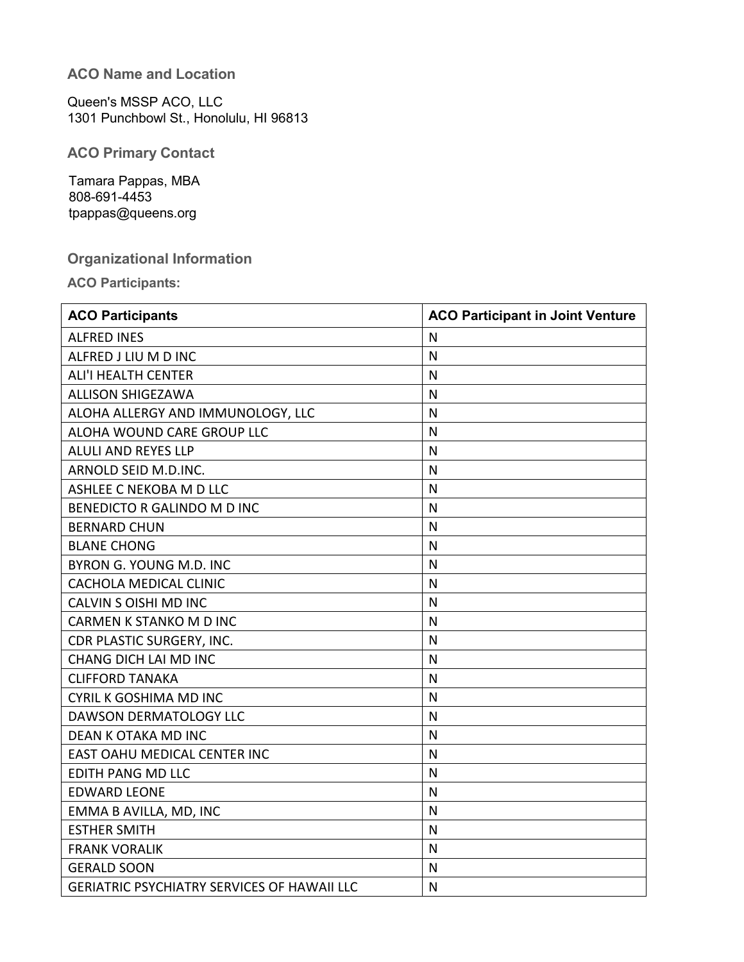#### **ACO Name and Location**

Queen's MSSP ACO, LLC 1301 Punchbowl St., Honolulu, HI 96813

**ACO Primary Contact**

 Tamara Pappas, MBA 808-691-4453 tpappas@queens.org

## **Organizational Information**

**ACO Participants:**

| <b>ACO Participants</b>                            | <b>ACO Participant in Joint Venture</b> |
|----------------------------------------------------|-----------------------------------------|
| <b>ALFRED INES</b>                                 | N                                       |
| ALFRED J LIU M D INC                               | N                                       |
| <b>ALI'I HEALTH CENTER</b>                         | N                                       |
| <b>ALLISON SHIGEZAWA</b>                           | N                                       |
| ALOHA ALLERGY AND IMMUNOLOGY, LLC                  | N                                       |
| ALOHA WOUND CARE GROUP LLC                         | N                                       |
| <b>ALULI AND REYES LLP</b>                         | N                                       |
| ARNOLD SEID M.D.INC.                               | N                                       |
| ASHLEE C NEKOBA M D LLC                            | N                                       |
| BENEDICTO R GALINDO M D INC                        | N                                       |
| <b>BERNARD CHUN</b>                                | N                                       |
| <b>BLANE CHONG</b>                                 | N                                       |
| BYRON G. YOUNG M.D. INC                            | N                                       |
| <b>CACHOLA MEDICAL CLINIC</b>                      | N                                       |
| CALVIN S OISHI MD INC                              | N                                       |
| CARMEN K STANKO M D INC                            | N                                       |
| CDR PLASTIC SURGERY, INC.                          | N                                       |
| CHANG DICH LAI MD INC                              | N                                       |
| <b>CLIFFORD TANAKA</b>                             | N                                       |
| CYRIL K GOSHIMA MD INC                             | N                                       |
| <b>DAWSON DERMATOLOGY LLC</b>                      | N                                       |
| DEAN K OTAKA MD INC                                | N                                       |
| EAST OAHU MEDICAL CENTER INC                       | N                                       |
| <b>EDITH PANG MD LLC</b>                           | N                                       |
| <b>EDWARD LEONE</b>                                | N                                       |
| EMMA B AVILLA, MD, INC                             | N                                       |
| <b>ESTHER SMITH</b>                                | N                                       |
| <b>FRANK VORALIK</b>                               | N                                       |
| <b>GERALD SOON</b>                                 | N                                       |
| <b>GERIATRIC PSYCHIATRY SERVICES OF HAWAII LLC</b> | N                                       |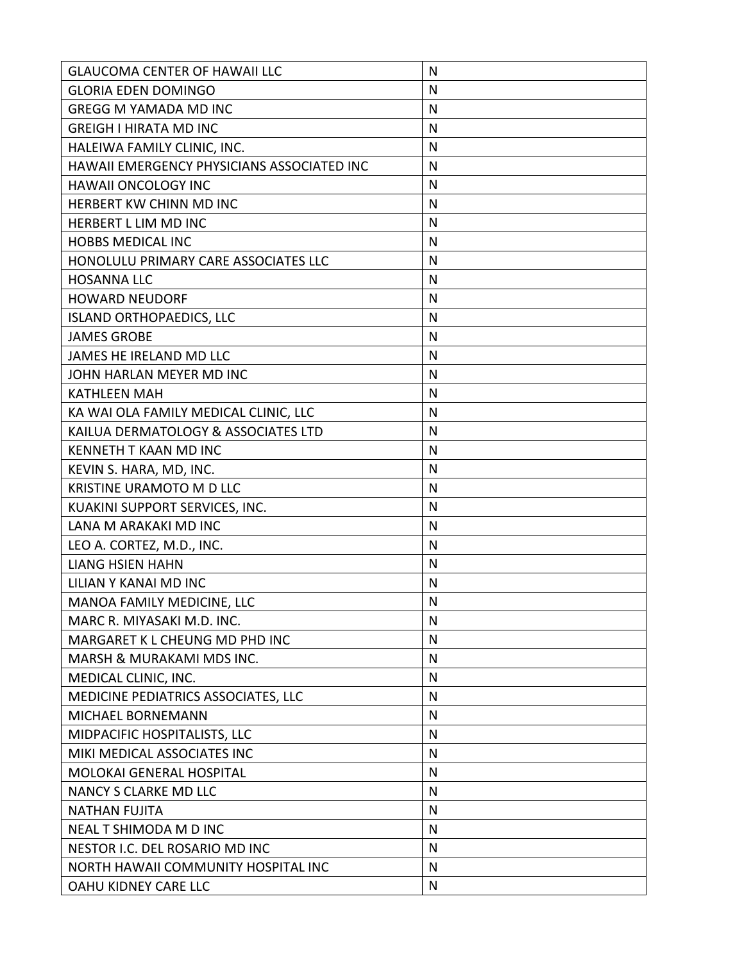| <b>GLAUCOMA CENTER OF HAWAII LLC</b>       | N |
|--------------------------------------------|---|
| <b>GLORIA EDEN DOMINGO</b>                 | N |
| <b>GREGG M YAMADA MD INC</b>               | N |
| <b>GREIGH I HIRATA MD INC</b>              | N |
| HALEIWA FAMILY CLINIC, INC.                | N |
| HAWAII EMERGENCY PHYSICIANS ASSOCIATED INC | N |
| <b>HAWAII ONCOLOGY INC</b>                 | N |
| HERBERT KW CHINN MD INC                    | N |
| HERBERT L LIM MD INC                       | N |
| <b>HOBBS MEDICAL INC</b>                   | N |
| HONOLULU PRIMARY CARE ASSOCIATES LLC       | N |
| <b>HOSANNA LLC</b>                         | N |
| <b>HOWARD NEUDORF</b>                      | N |
| <b>ISLAND ORTHOPAEDICS, LLC</b>            | N |
| <b>JAMES GROBE</b>                         | N |
| JAMES HE IRELAND MD LLC                    | N |
| JOHN HARLAN MEYER MD INC                   | N |
| <b>KATHLEEN MAH</b>                        | N |
| KA WAI OLA FAMILY MEDICAL CLINIC, LLC      | N |
| KAILUA DERMATOLOGY & ASSOCIATES LTD        | N |
| KENNETH T KAAN MD INC                      | N |
| KEVIN S. HARA, MD, INC.                    | N |
| KRISTINE URAMOTO M D LLC                   | N |
| KUAKINI SUPPORT SERVICES, INC.             | N |
| LANA M ARAKAKI MD INC                      | N |
| LEO A. CORTEZ, M.D., INC.                  | N |
| <b>LIANG HSIEN HAHN</b>                    | N |
| LILIAN Y KANAI MD INC                      | N |
| MANOA FAMILY MEDICINE, LLC                 | N |
| MARC R. MIYASAKI M.D. INC.                 | N |
| MARGARET K L CHEUNG MD PHD INC             | N |
| MARSH & MURAKAMI MDS INC.                  | N |
| MEDICAL CLINIC, INC.                       | N |
| MEDICINE PEDIATRICS ASSOCIATES, LLC        | N |
| MICHAEL BORNEMANN                          | N |
| MIDPACIFIC HOSPITALISTS, LLC               | N |
| MIKI MEDICAL ASSOCIATES INC                | N |
| MOLOKAI GENERAL HOSPITAL                   | N |
| NANCY S CLARKE MD LLC                      | N |
| <b>NATHAN FUJITA</b>                       | N |
| NEAL T SHIMODA M D INC                     | N |
| NESTOR I.C. DEL ROSARIO MD INC             | N |
| NORTH HAWAII COMMUNITY HOSPITAL INC        | N |
| <b>OAHU KIDNEY CARE LLC</b>                | N |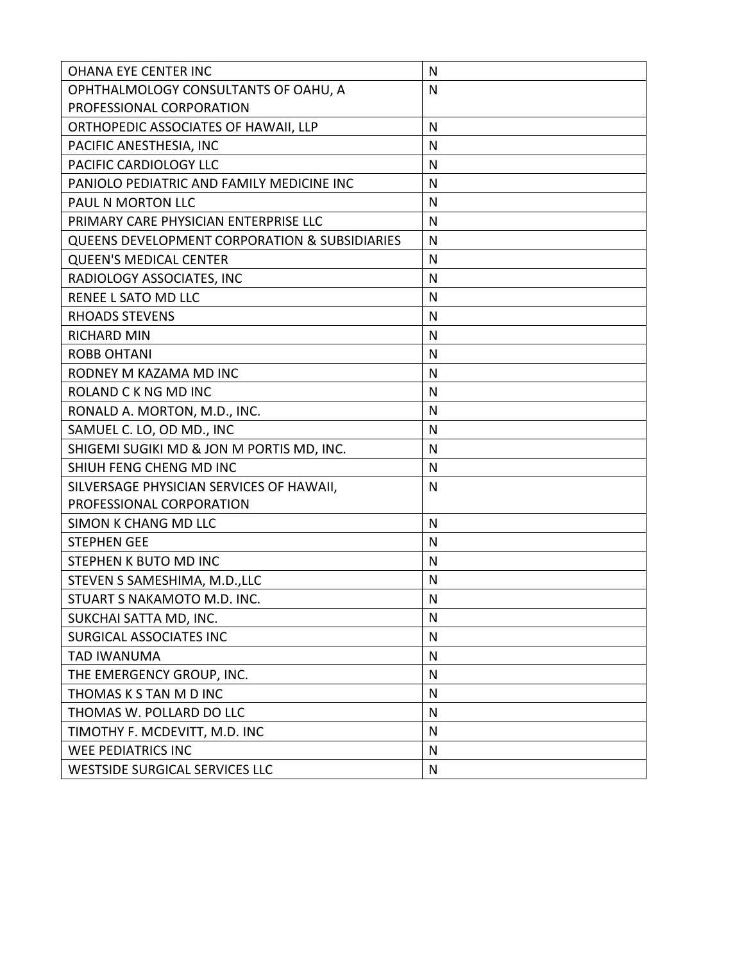| <b>OHANA EYE CENTER INC</b>                              | N            |
|----------------------------------------------------------|--------------|
| OPHTHALMOLOGY CONSULTANTS OF OAHU, A                     | N            |
| PROFESSIONAL CORPORATION                                 |              |
| ORTHOPEDIC ASSOCIATES OF HAWAII, LLP                     | N            |
| PACIFIC ANESTHESIA, INC                                  | N            |
| PACIFIC CARDIOLOGY LLC                                   | N            |
| PANIOLO PEDIATRIC AND FAMILY MEDICINE INC                | N            |
| PAUL N MORTON LLC                                        | N            |
| PRIMARY CARE PHYSICIAN ENTERPRISE LLC                    | N            |
| <b>QUEENS DEVELOPMENT CORPORATION &amp; SUBSIDIARIES</b> | N            |
| <b>QUEEN'S MEDICAL CENTER</b>                            | N            |
| RADIOLOGY ASSOCIATES, INC                                | N            |
| RENEE L SATO MD LLC                                      | N            |
| <b>RHOADS STEVENS</b>                                    | N            |
| <b>RICHARD MIN</b>                                       | N            |
| <b>ROBB OHTANI</b>                                       | N            |
| RODNEY M KAZAMA MD INC                                   | N            |
| ROLAND C K NG MD INC                                     | N            |
| RONALD A. MORTON, M.D., INC.                             | N            |
| SAMUEL C. LO, OD MD., INC                                | N            |
| SHIGEMI SUGIKI MD & JON M PORTIS MD, INC.                | N            |
| SHIUH FENG CHENG MD INC                                  | N            |
| SILVERSAGE PHYSICIAN SERVICES OF HAWAII,                 | N            |
| PROFESSIONAL CORPORATION                                 |              |
| SIMON K CHANG MD LLC                                     | N            |
| <b>STEPHEN GEE</b>                                       | N            |
| STEPHEN K BUTO MD INC                                    | N            |
| STEVEN S SAMESHIMA, M.D., LLC                            | N            |
| STUART S NAKAMOTO M.D. INC.                              | N            |
| SUKCHAI SATTA MD, INC.                                   | N            |
| <b>SURGICAL ASSOCIATES INC</b>                           | $\mathsf{N}$ |
| <b>TAD IWANUMA</b>                                       | $\mathsf{N}$ |
| THE EMERGENCY GROUP, INC.                                | N            |
| THOMAS K S TAN M D INC                                   | $\mathsf{N}$ |
| THOMAS W. POLLARD DO LLC                                 | N            |
| TIMOTHY F. MCDEVITT, M.D. INC                            | $\mathsf{N}$ |
| <b>WEE PEDIATRICS INC</b>                                | $\mathsf{N}$ |
| <b>WESTSIDE SURGICAL SERVICES LLC</b>                    | N            |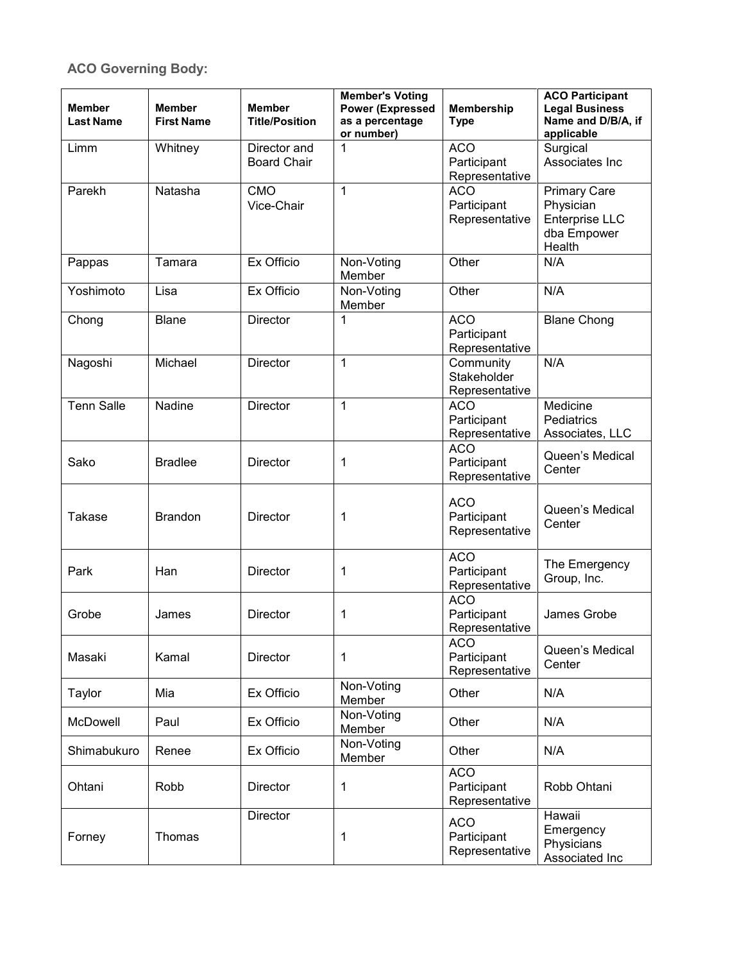# **ACO Governing Body:**

| <b>Member</b><br><b>Last Name</b> | <b>Member</b><br><b>First Name</b> | <b>Member</b><br><b>Title/Position</b> | <b>Member's Voting</b><br><b>Power (Expressed</b><br>as a percentage<br>or number) | <b>Membership</b><br><b>Type</b>            | <b>ACO Participant</b><br><b>Legal Business</b><br>Name and D/B/A, if<br>applicable |
|-----------------------------------|------------------------------------|----------------------------------------|------------------------------------------------------------------------------------|---------------------------------------------|-------------------------------------------------------------------------------------|
| Limm                              | Whitney                            | Director and<br><b>Board Chair</b>     | 1                                                                                  | <b>ACO</b><br>Participant<br>Representative | Surgical<br>Associates Inc                                                          |
| Parekh                            | Natasha                            | <b>CMO</b><br>Vice-Chair               | $\mathbf{1}$                                                                       | <b>ACO</b><br>Participant<br>Representative | <b>Primary Care</b><br>Physician<br><b>Enterprise LLC</b><br>dba Empower<br>Health  |
| Pappas                            | Tamara                             | Ex Officio                             | Non-Voting<br>Member                                                               | Other                                       | N/A                                                                                 |
| Yoshimoto                         | Lisa                               | Ex Officio                             | Non-Voting<br>Member                                                               | Other                                       | N/A                                                                                 |
| Chong                             | <b>Blane</b>                       | Director                               | 1                                                                                  | <b>ACO</b><br>Participant<br>Representative | <b>Blane Chong</b>                                                                  |
| Nagoshi                           | Michael                            | Director                               | $\mathbf{1}$                                                                       | Community<br>Stakeholder<br>Representative  | N/A                                                                                 |
| <b>Tenn Salle</b>                 | Nadine                             | <b>Director</b>                        | $\mathbf{1}$                                                                       | <b>ACO</b><br>Participant<br>Representative | Medicine<br>Pediatrics<br>Associates, LLC                                           |
| Sako                              | <b>Bradlee</b>                     | Director                               | 1                                                                                  | <b>ACO</b><br>Participant<br>Representative | Queen's Medical<br>Center                                                           |
| <b>Takase</b>                     | <b>Brandon</b>                     | Director                               | 1                                                                                  | <b>ACO</b><br>Participant<br>Representative | Queen's Medical<br>Center                                                           |
| Park                              | Han                                | Director                               | 1                                                                                  | <b>ACO</b><br>Participant<br>Representative | The Emergency<br>Group, Inc.                                                        |
| Grobe                             | James                              | <b>Director</b>                        | 1                                                                                  | <b>ACO</b><br>Participant<br>Representative | James Grobe                                                                         |
| Masaki                            | Kamal                              | Director                               | 1                                                                                  | <b>ACO</b><br>Participant<br>Representative | Queen's Medical<br>Center                                                           |
| Taylor                            | Mia                                | Ex Officio                             | Non-Voting<br>Member                                                               | Other                                       | N/A                                                                                 |
| McDowell                          | Paul                               | Ex Officio                             | Non-Voting<br>Member                                                               | Other                                       | N/A                                                                                 |
| Shimabukuro                       | Renee                              | Ex Officio                             | Non-Voting<br>Member                                                               | Other                                       | N/A                                                                                 |
| Ohtani                            | Robb                               | Director                               | 1                                                                                  | <b>ACO</b><br>Participant<br>Representative | Robb Ohtani                                                                         |
| Forney                            | Thomas                             | Director                               | 1                                                                                  | <b>ACO</b><br>Participant<br>Representative | Hawaii<br>Emergency<br>Physicians<br>Associated Inc                                 |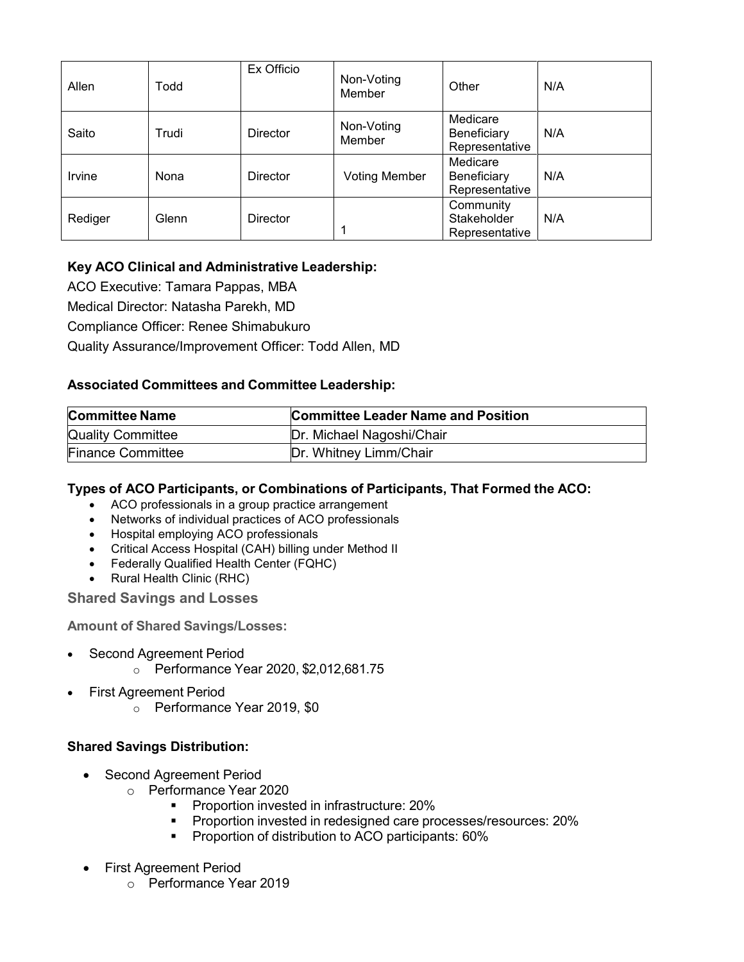| Allen   | Todd  | Ex Officio      | Non-Voting<br>Member | Other                                      | N/A |
|---------|-------|-----------------|----------------------|--------------------------------------------|-----|
| Saito   | Trudi | <b>Director</b> | Non-Voting<br>Member | Medicare<br>Beneficiary<br>Representative  | N/A |
| Irvine  | Nona  | <b>Director</b> | <b>Voting Member</b> | Medicare<br>Beneficiary<br>Representative  | N/A |
| Rediger | Glenn | <b>Director</b> |                      | Community<br>Stakeholder<br>Representative | N/A |

# **Key ACO Clinical and Administrative Leadership:**

ACO Executive: Tamara Pappas, MBA Medical Director: Natasha Parekh, MD Compliance Officer: Renee Shimabukuro Quality Assurance/Improvement Officer: Todd Allen, MD

# **Associated Committees and Committee Leadership:**

| <b>Committee Name</b>    | <b>Committee Leader Name and Position</b> |  |  |
|--------------------------|-------------------------------------------|--|--|
| <b>Quality Committee</b> | Dr. Michael Nagoshi/Chair                 |  |  |
| <b>Finance Committee</b> | Dr. Whitney Limm/Chair                    |  |  |

#### **Types of ACO Participants, or Combinations of Participants, That Formed the ACO:**

- ACO professionals in a group practice arrangement
- Networks of individual practices of ACO professionals
- Hospital employing ACO professionals
- Critical Access Hospital (CAH) billing under Method II
- Federally Qualified Health Center (FQHC)
- Rural Health Clinic (RHC)

**Shared Savings and Losses**

**Amount of Shared Savings/Losses:**

- Second Agreement Period
	- o Performance Year 2020, \$2,012,681.75
- First Agreement Period
	- o Performance Year 2019, \$0

#### **Shared Savings Distribution:**

- Second Agreement Period
	- o Performance Year 2020
		- **Proportion invested in infrastructure: 20%**
		- **Proportion invested in redesigned care processes/resources: 20%**
		- **Proportion of distribution to ACO participants: 60%**
- First Agreement Period
	- o Performance Year 2019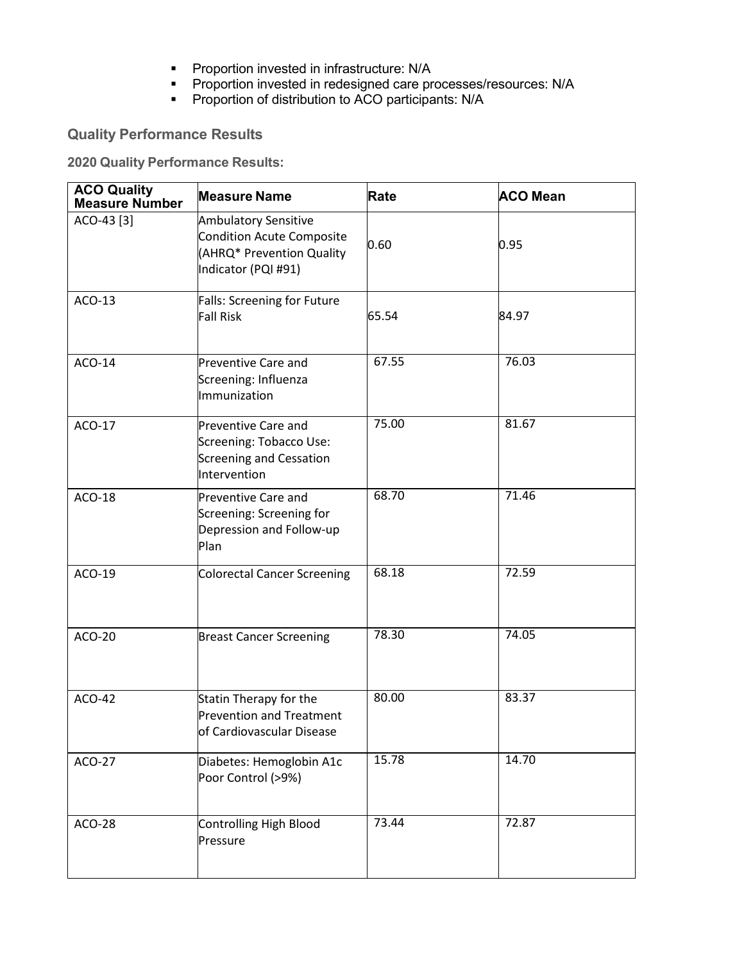- **Proportion invested in infrastructure: N/A**
- **Proportion invested in redesigned care processes/resources: N/A**
- **•** Proportion of distribution to ACO participants: N/A

# **Quality Performance Results**

**2020 Quality Performance Results:**

| <b>ACO Quality</b><br><b>Measure Number</b> | Measure Name                                                                                                 | Rate  | <b>ACO Mean</b> |
|---------------------------------------------|--------------------------------------------------------------------------------------------------------------|-------|-----------------|
| ACO-43 [3]                                  | <b>Ambulatory Sensitive</b><br>Condition Acute Composite<br>(AHRQ* Prevention Quality<br>Indicator (PQI #91) | 0.60  | 0.95            |
| $ACO-13$                                    | Falls: Screening for Future<br><b>Fall Risk</b>                                                              | 65.54 | 84.97           |
| ACO-14                                      | Preventive Care and<br>Screening: Influenza<br>Immunization                                                  | 67.55 | 76.03           |
| ACO-17                                      | <b>Preventive Care and</b><br>Screening: Tobacco Use:<br>Screening and Cessation<br>Intervention             | 75.00 | 81.67           |
| ACO-18                                      | Preventive Care and<br>Screening: Screening for<br>Depression and Follow-up<br>Plan                          | 68.70 | 71.46           |
| ACO-19                                      | <b>Colorectal Cancer Screening</b>                                                                           | 68.18 | 72.59           |
| ACO-20                                      | <b>Breast Cancer Screening</b>                                                                               | 78.30 | 74.05           |
| ACO-42                                      | Statin Therapy for the<br><b>Prevention and Treatment</b><br>of Cardiovascular Disease                       | 80.00 | 83.37           |
| ACO-27                                      | Diabetes: Hemoglobin A1c<br>Poor Control (>9%)                                                               | 15.78 | 14.70           |
| ACO-28                                      | <b>Controlling High Blood</b><br>Pressure                                                                    | 73.44 | 72.87           |